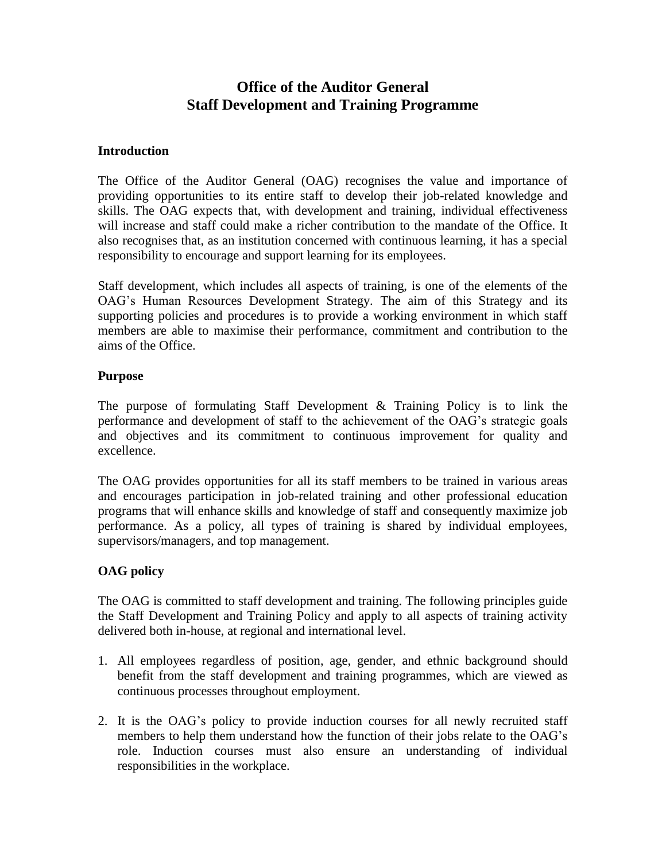# **Office of the Auditor General Staff Development and Training Programme**

#### **Introduction**

The Office of the Auditor General (OAG) recognises the value and importance of providing opportunities to its entire staff to develop their job-related knowledge and skills. The OAG expects that, with development and training, individual effectiveness will increase and staff could make a richer contribution to the mandate of the Office. It also recognises that, as an institution concerned with continuous learning, it has a special responsibility to encourage and support learning for its employees.

Staff development, which includes all aspects of training, is one of the elements of the OAG's Human Resources Development Strategy. The aim of this Strategy and its supporting policies and procedures is to provide a working environment in which staff members are able to maximise their performance, commitment and contribution to the aims of the Office.

### **Purpose**

The purpose of formulating Staff Development & Training Policy is to link the performance and development of staff to the achievement of the OAG's strategic goals and objectives and its commitment to continuous improvement for quality and excellence.

The OAG provides opportunities for all its staff members to be trained in various areas and encourages participation in job-related training and other professional education programs that will enhance skills and knowledge of staff and consequently maximize job performance. As a policy, all types of training is shared by individual employees, supervisors/managers, and top management.

# **OAG policy**

The OAG is committed to staff development and training. The following principles guide the Staff Development and Training Policy and apply to all aspects of training activity delivered both in-house, at regional and international level.

- 1. All employees regardless of position, age, gender, and ethnic background should benefit from the staff development and training programmes, which are viewed as continuous processes throughout employment.
- 2. It is the OAG's policy to provide induction courses for all newly recruited staff members to help them understand how the function of their jobs relate to the OAG's role. Induction courses must also ensure an understanding of individual responsibilities in the workplace.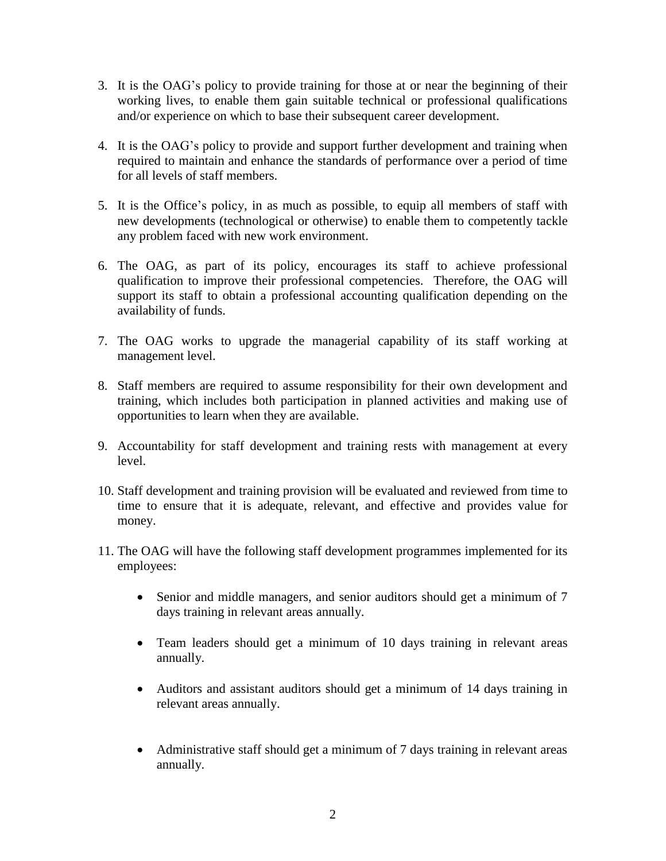- 3. It is the OAG's policy to provide training for those at or near the beginning of their working lives, to enable them gain suitable technical or professional qualifications and/or experience on which to base their subsequent career development.
- 4. It is the OAG's policy to provide and support further development and training when required to maintain and enhance the standards of performance over a period of time for all levels of staff members.
- 5. It is the Office's policy, in as much as possible, to equip all members of staff with new developments (technological or otherwise) to enable them to competently tackle any problem faced with new work environment.
- 6. The OAG, as part of its policy, encourages its staff to achieve professional qualification to improve their professional competencies. Therefore, the OAG will support its staff to obtain a professional accounting qualification depending on the availability of funds.
- 7. The OAG works to upgrade the managerial capability of its staff working at management level.
- 8. Staff members are required to assume responsibility for their own development and training, which includes both participation in planned activities and making use of opportunities to learn when they are available.
- 9. Accountability for staff development and training rests with management at every level.
- 10. Staff development and training provision will be evaluated and reviewed from time to time to ensure that it is adequate, relevant, and effective and provides value for money.
- 11. The OAG will have the following staff development programmes implemented for its employees:
	- Senior and middle managers, and senior auditors should get a minimum of 7 days training in relevant areas annually.
	- Team leaders should get a minimum of 10 days training in relevant areas annually.
	- Auditors and assistant auditors should get a minimum of 14 days training in relevant areas annually.
	- Administrative staff should get a minimum of 7 days training in relevant areas annually.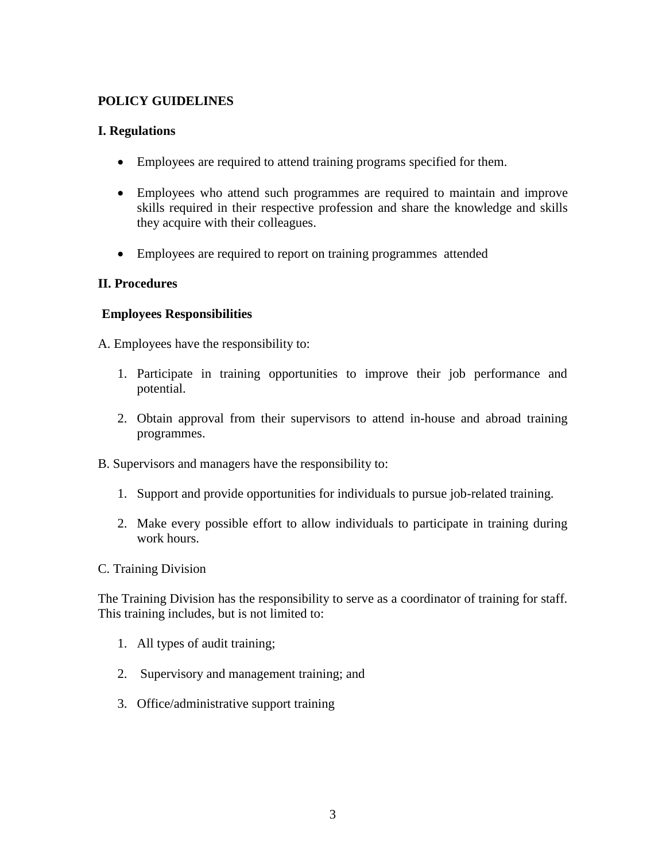### **POLICY GUIDELINES**

### **I. Regulations**

- Employees are required to attend training programs specified for them.
- Employees who attend such programmes are required to maintain and improve skills required in their respective profession and share the knowledge and skills they acquire with their colleagues.
- Employees are required to report on training programmes attended

### **II. Procedures**

### **Employees Responsibilities**

A. Employees have the responsibility to:

- 1. Participate in training opportunities to improve their job performance and potential.
- 2. Obtain approval from their supervisors to attend in-house and abroad training programmes.
- B. Supervisors and managers have the responsibility to:
	- 1. Support and provide opportunities for individuals to pursue job-related training.
	- 2. Make every possible effort to allow individuals to participate in training during work hours.
- C. Training Division

The Training Division has the responsibility to serve as a coordinator of training for staff. This training includes, but is not limited to:

- 1. All types of audit training;
- 2. Supervisory and management training; and
- 3. Office/administrative support training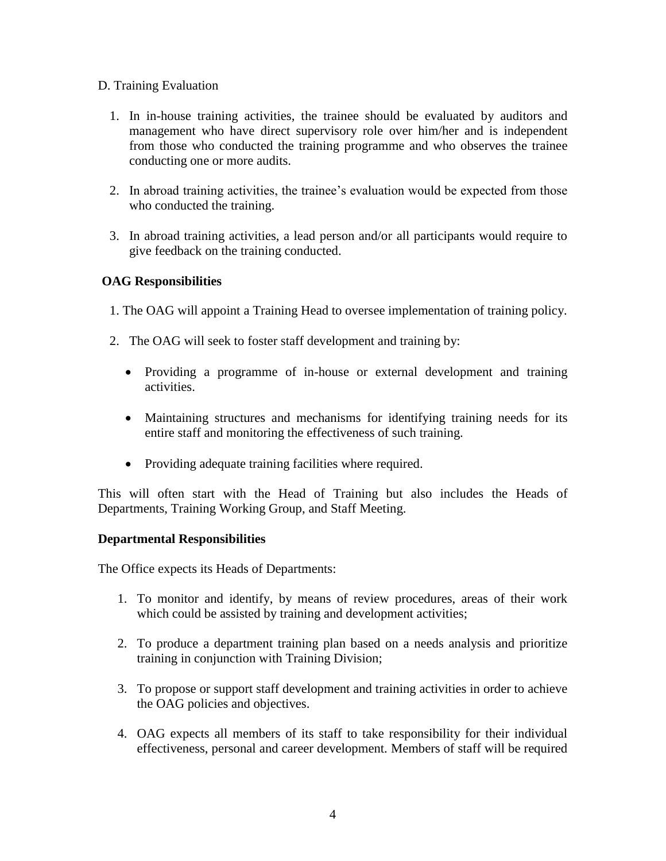#### D. Training Evaluation

- 1. In in-house training activities, the trainee should be evaluated by auditors and management who have direct supervisory role over him/her and is independent from those who conducted the training programme and who observes the trainee conducting one or more audits.
- 2. In abroad training activities, the trainee's evaluation would be expected from those who conducted the training.
- 3. In abroad training activities, a lead person and/or all participants would require to give feedback on the training conducted.

### **OAG Responsibilities**

- 1. The OAG will appoint a Training Head to oversee implementation of training policy.
- 2. The OAG will seek to foster staff development and training by:
	- Providing a programme of in-house or external development and training activities.
	- Maintaining structures and mechanisms for identifying training needs for its entire staff and monitoring the effectiveness of such training.
	- Providing adequate training facilities where required.

This will often start with the Head of Training but also includes the Heads of Departments, Training Working Group, and Staff Meeting.

#### **Departmental Responsibilities**

The Office expects its Heads of Departments:

- 1. To monitor and identify, by means of review procedures, areas of their work which could be assisted by training and development activities;
- 2. To produce a department training plan based on a needs analysis and prioritize training in conjunction with Training Division;
- 3. To propose or support staff development and training activities in order to achieve the OAG policies and objectives.
- 4. OAG expects all members of its staff to take responsibility for their individual effectiveness, personal and career development. Members of staff will be required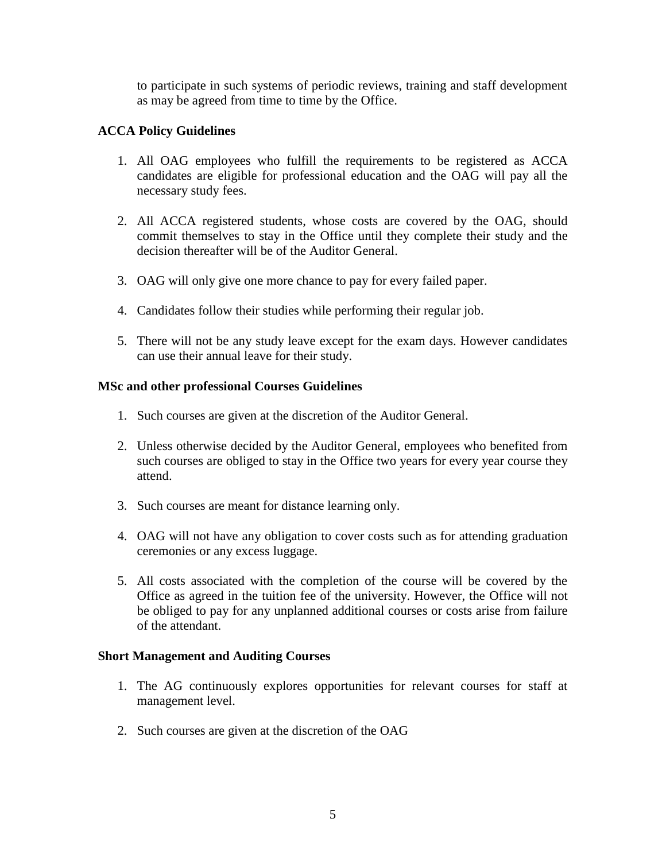to participate in such systems of periodic reviews, training and staff development as may be agreed from time to time by the Office.

### **ACCA Policy Guidelines**

- 1. All OAG employees who fulfill the requirements to be registered as ACCA candidates are eligible for professional education and the OAG will pay all the necessary study fees.
- 2. All ACCA registered students, whose costs are covered by the OAG, should commit themselves to stay in the Office until they complete their study and the decision thereafter will be of the Auditor General.
- 3. OAG will only give one more chance to pay for every failed paper.
- 4. Candidates follow their studies while performing their regular job.
- 5. There will not be any study leave except for the exam days. However candidates can use their annual leave for their study.

#### **MSc and other professional Courses Guidelines**

- 1. Such courses are given at the discretion of the Auditor General.
- 2. Unless otherwise decided by the Auditor General, employees who benefited from such courses are obliged to stay in the Office two years for every year course they attend.
- 3. Such courses are meant for distance learning only.
- 4. OAG will not have any obligation to cover costs such as for attending graduation ceremonies or any excess luggage.
- 5. All costs associated with the completion of the course will be covered by the Office as agreed in the tuition fee of the university. However, the Office will not be obliged to pay for any unplanned additional courses or costs arise from failure of the attendant.

#### **Short Management and Auditing Courses**

- 1. The AG continuously explores opportunities for relevant courses for staff at management level.
- 2. Such courses are given at the discretion of the OAG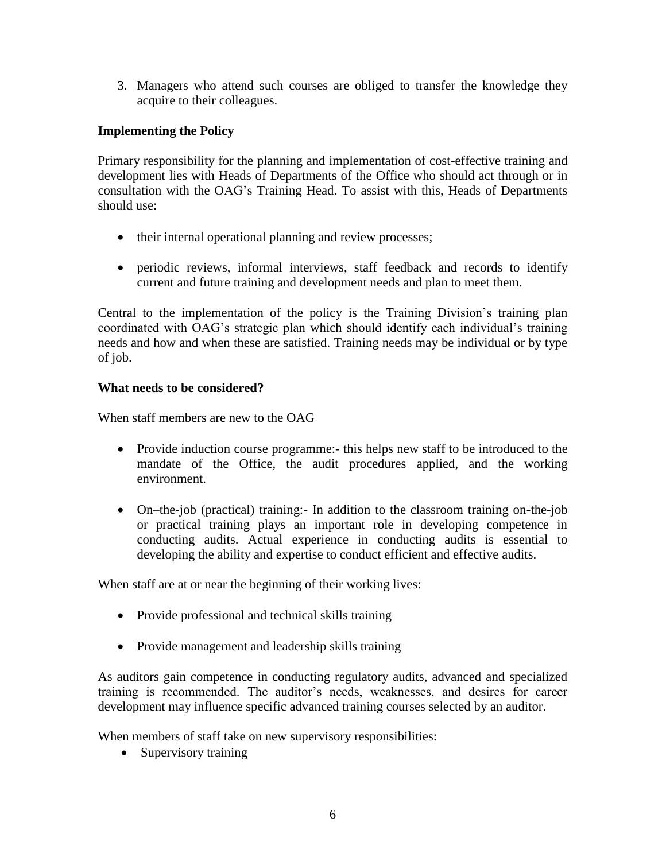3. Managers who attend such courses are obliged to transfer the knowledge they acquire to their colleagues.

## **Implementing the Policy**

Primary responsibility for the planning and implementation of cost-effective training and development lies with Heads of Departments of the Office who should act through or in consultation with the OAG's Training Head. To assist with this, Heads of Departments should use:

- their internal operational planning and review processes;
- periodic reviews, informal interviews, staff feedback and records to identify current and future training and development needs and plan to meet them.

Central to the implementation of the policy is the Training Division's training plan coordinated with OAG's strategic plan which should identify each individual's training needs and how and when these are satisfied. Training needs may be individual or by type of job.

### **What needs to be considered?**

When staff members are new to the OAG

- Provide induction course programme:- this helps new staff to be introduced to the mandate of the Office, the audit procedures applied, and the working environment.
- On–the-job (practical) training:- In addition to the classroom training on-the-job or practical training plays an important role in developing competence in conducting audits. Actual experience in conducting audits is essential to developing the ability and expertise to conduct efficient and effective audits.

When staff are at or near the beginning of their working lives:

- Provide professional and technical skills training
- Provide management and leadership skills training

As auditors gain competence in conducting regulatory audits, advanced and specialized training is recommended. The auditor's needs, weaknesses, and desires for career development may influence specific advanced training courses selected by an auditor.

When members of staff take on new supervisory responsibilities:

• Supervisory training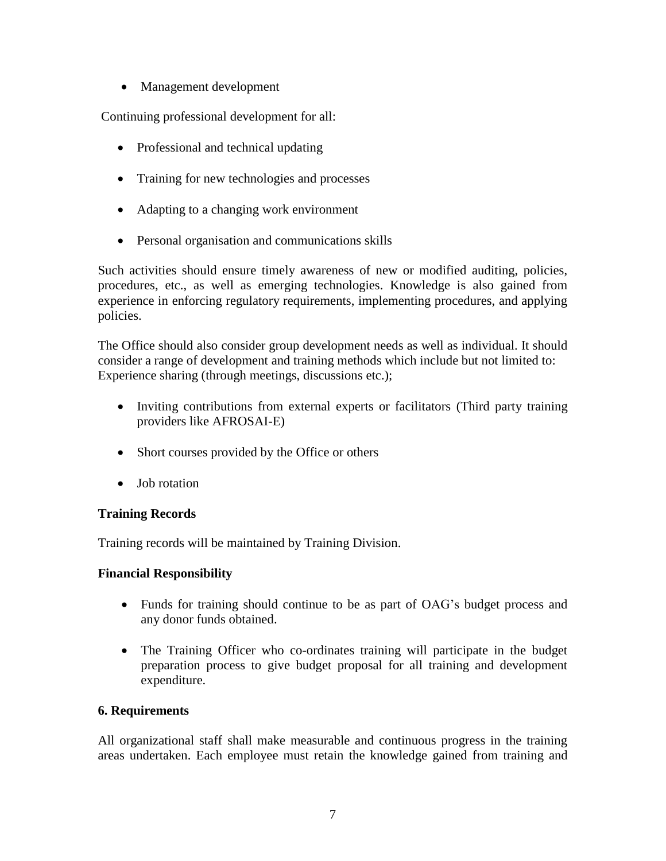• Management development

Continuing professional development for all:

- Professional and technical updating
- Training for new technologies and processes
- Adapting to a changing work environment
- Personal organisation and communications skills

Such activities should ensure timely awareness of new or modified auditing, policies, procedures, etc., as well as emerging technologies. Knowledge is also gained from experience in enforcing regulatory requirements, implementing procedures, and applying policies.

The Office should also consider group development needs as well as individual. It should consider a range of development and training methods which include but not limited to: Experience sharing (through meetings, discussions etc.);

- Inviting contributions from external experts or facilitators (Third party training providers like AFROSAI-E)
- Short courses provided by the Office or others
- Job rotation

### **Training Records**

Training records will be maintained by Training Division.

### **Financial Responsibility**

- Funds for training should continue to be as part of OAG's budget process and any donor funds obtained.
- The Training Officer who co-ordinates training will participate in the budget preparation process to give budget proposal for all training and development expenditure.

### **6. Requirements**

All organizational staff shall make measurable and continuous progress in the training areas undertaken. Each employee must retain the knowledge gained from training and